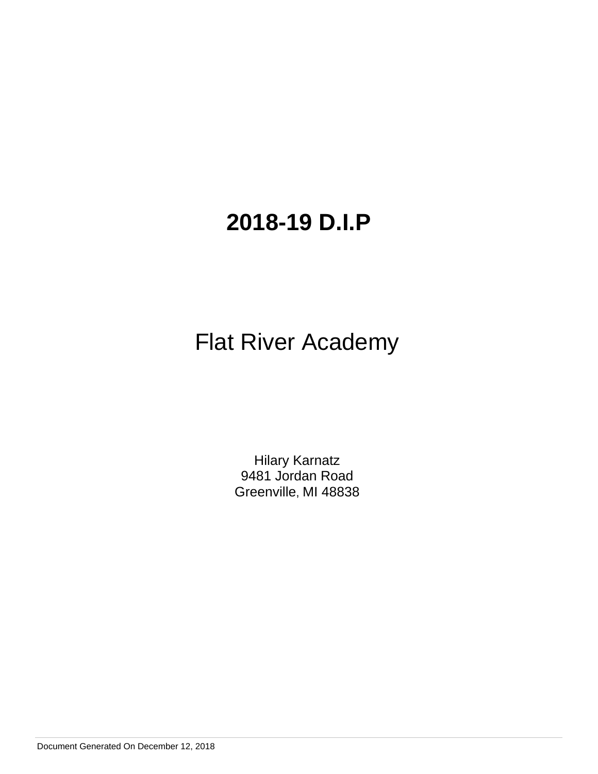# Flat River Academy

Hilary Karnatz 9481 Jordan Road Greenville, MI 48838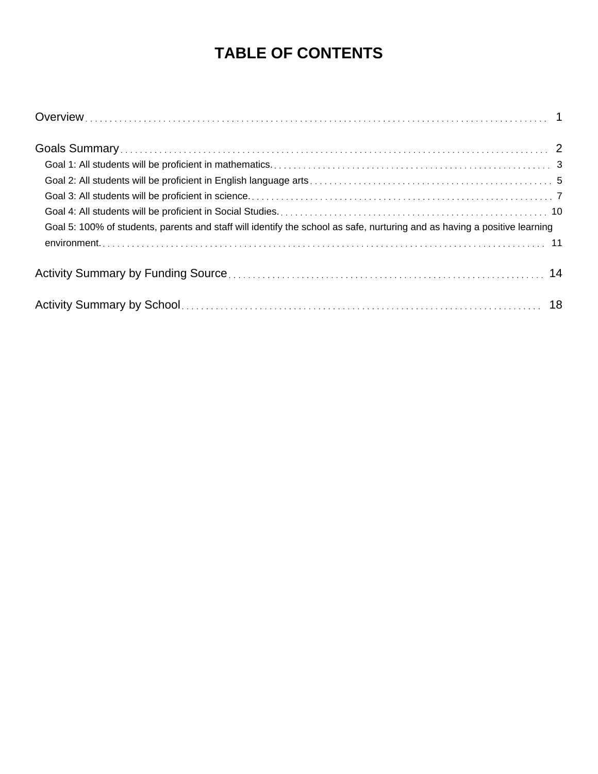# **TABLE OF CONTENTS**

| Goal 5: 100% of students, parents and staff will identify the school as safe, nurturing and as having a positive learning |  |
|---------------------------------------------------------------------------------------------------------------------------|--|
|                                                                                                                           |  |
|                                                                                                                           |  |
|                                                                                                                           |  |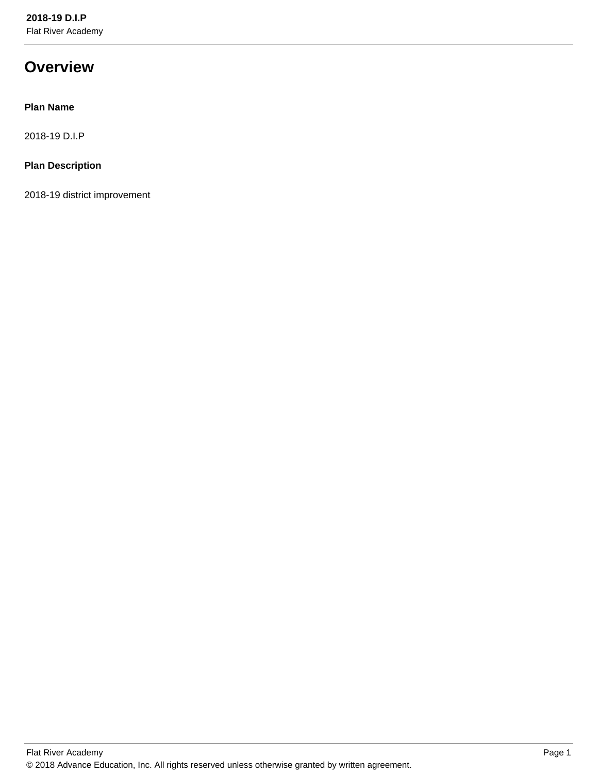# **Overview**

# **Plan Name**

2018-19 D.I.P

# **Plan Description**

2018-19 district improvement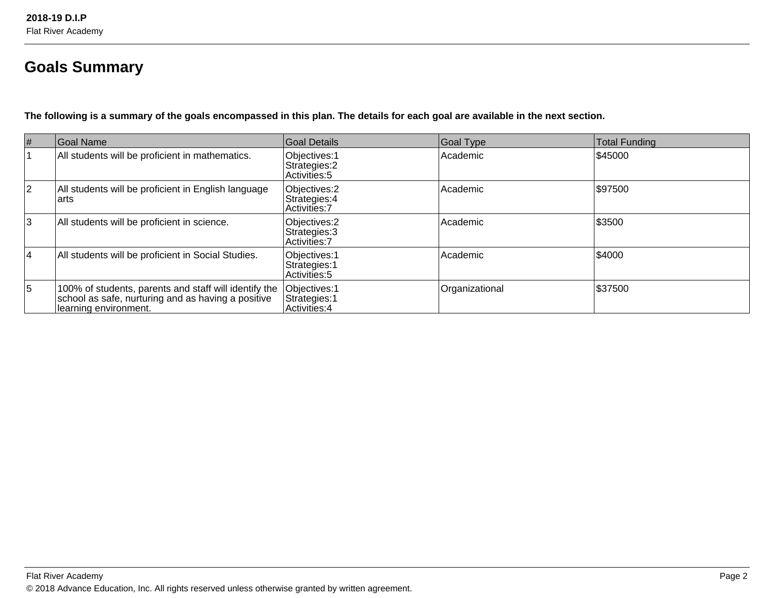# **Goals Summary**

**The following is a summary of the goals encompassed in this plan. The details for each goal are available in the next section.**

| #              | Goal Name                                                                                                                            | Goal Details                                    | Goal Type      | Total Funding |
|----------------|--------------------------------------------------------------------------------------------------------------------------------------|-------------------------------------------------|----------------|---------------|
|                | All students will be proficient in mathematics.                                                                                      | Objectives: 1<br>Strategies: 2<br>Activities: 5 | Academic       | \$45000       |
| $\overline{2}$ | All students will be proficient in English language<br>larts                                                                         | Objectives: 2<br>Strategies: 4<br>Activities: 7 | Academic       | \$97500       |
| $\overline{3}$ | All students will be proficient in science.                                                                                          | Objectives: 2<br>Strategies: 3<br>Activities: 7 | Academic       | \$3500        |
| <b>4</b>       | All students will be proficient in Social Studies.                                                                                   | Objectives: 1<br>Strategies: 1<br>Activities: 5 | Academic       | \$4000        |
| 5              | 100% of students, parents and staff will identify the<br>school as safe, nurturing and as having a positive<br>Iearning environment. | Objectives: 1<br>Strategies: 1<br>Activities: 4 | Organizational | \$37500       |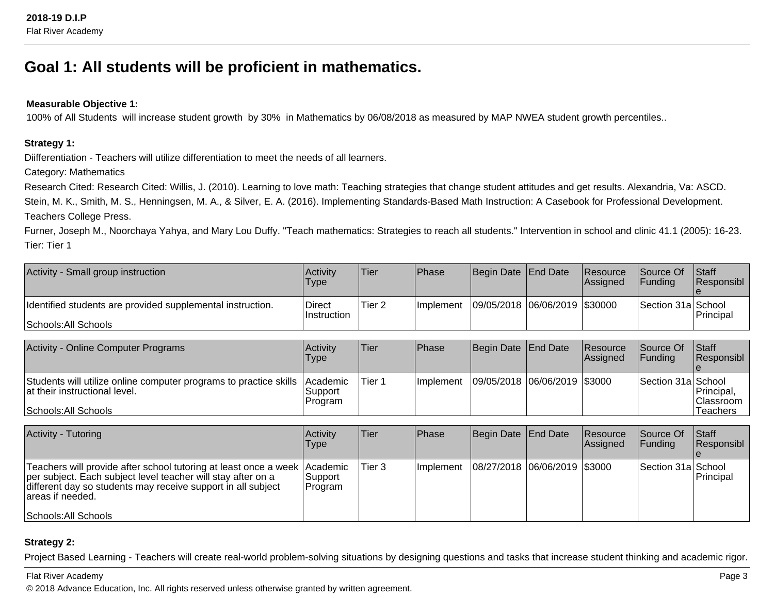# **Goal 1: All students will be proficient in mathematics.**

### **Measurable Objective 1:**

100% of All Students will increase student growth by 30% in Mathematics by 06/08/2018 as measured by MAP NWEA student growth percentiles..

### **Strategy 1:**

Diifferentiation - Teachers will utilize differentiation to meet the needs of all learners.

Category: Mathematics

Research Cited: Research Cited: Willis, J. (2010). Learning to love math: Teaching strategies that change student attitudes and get results. Alexandria, Va: ASCD. Stein, M. K., Smith, M. S., Henningsen, M. A., & Silver, E. A. (2016). Implementing Standards-Based Math Instruction: A Casebook for Professional Development.Teachers College Press.

Furner, Joseph M., Noorchaya Yahya, and Mary Lou Duffy. "Teach mathematics: Strategies to reach all students." Intervention in school and clinic 41.1 (2005): 16-23.Tier: Tier 1

| Activity - Small group instruction                         | <b>Activity</b><br>Type | Tier   | <b>Phase</b>      | Begin Date End Date           | Resource<br><b>Assigned</b> | Source Of<br><b>IFundina</b> | <b>Staff</b><br><b>Responsibl</b> |
|------------------------------------------------------------|-------------------------|--------|-------------------|-------------------------------|-----------------------------|------------------------------|-----------------------------------|
| Identified students are provided supplemental instruction. | Direct<br>∣Instruction  | Tier 2 | <b>Ilmplement</b> | 09/05/2018 06/06/2019 \$30000 |                             | Section 31a School           | <b>Principal</b>                  |
| Schools: All Schools                                       |                         |        |                   |                               |                             |                              |                                   |

| <b>Activity - Online Computer Programs</b>                                                                                  | <b>Activity</b><br>Type                | Tier   | <b>IPhase</b>    | Begin Date End Date          | <b>Resource</b><br>Assigned | <b>Source Of</b><br>IFundina | Staff<br><b>Responsibl</b>             |
|-----------------------------------------------------------------------------------------------------------------------------|----------------------------------------|--------|------------------|------------------------------|-----------------------------|------------------------------|----------------------------------------|
| Students will utilize online computer programs to practice skills<br>lat their instructional level.<br>Schools: All Schools | <b>Academic</b><br>lSupport<br>Program | Tier 1 | <b>Implement</b> | 09/05/2018 06/06/2019 \$3000 |                             | Section 31a School           | Principal,<br> Classroom  <br>Teachers |

| Activity - Tutoring                                                                                                                                                                                                            | Activity<br><b>Type</b> | ∣Tier∶ | <b>IPhase</b> | Begin Date   End Date        | Resource<br><b>Assigned</b> | <b>Source Of</b><br>IFundina | <b>Staff</b><br><b>Responsibl</b> |
|--------------------------------------------------------------------------------------------------------------------------------------------------------------------------------------------------------------------------------|-------------------------|--------|---------------|------------------------------|-----------------------------|------------------------------|-----------------------------------|
| Teachers will provide after school tutoring at least once a week Academic<br>per subject. Each subject level teacher will stay after on a<br>different day so students may receive support in all subject<br>lareas if needed. | Support <br> Program    | Tier 3 | Ilmplement    | 08/27/2018 06/06/2019 \$3000 |                             | Section 31a School           | Principal                         |
| Schools: All Schools                                                                                                                                                                                                           |                         |        |               |                              |                             |                              |                                   |

### **Strategy 2:**

Project Based Learning - Teachers will create real-world problem-solving situations by designing questions and tasks that increase student thinking and academic rigor.

Flat River Academy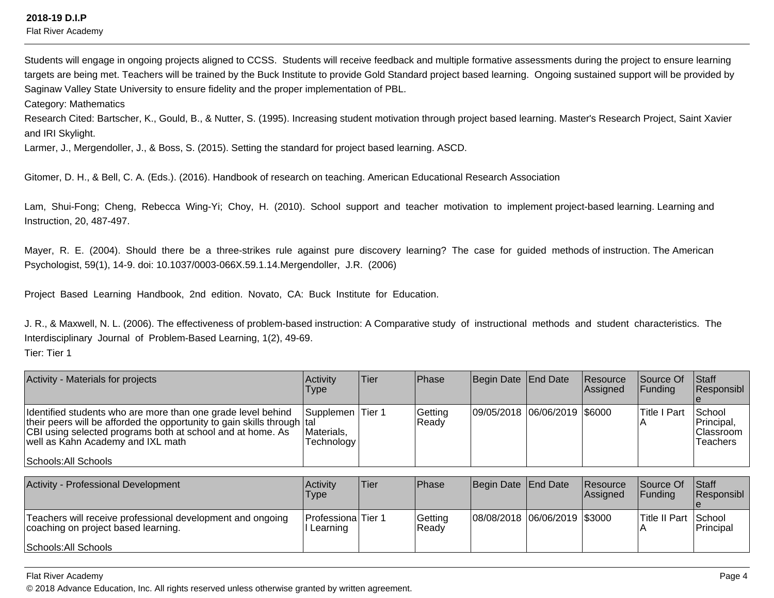Flat River Academy

Students will engage in ongoing projects aligned to CCSS. Students will receive feedback and multiple formative assessments during the project to ensure learning targets are being met. Teachers will be trained by the Buck Institute to provide Gold Standard project based learning. Ongoing sustained support will be provided bySaginaw Valley State University to ensure fidelity and the proper implementation of PBL.

Category: Mathematics

Research Cited: Bartscher, K., Gould, B., & Nutter, S. (1995). Increasing student motivation through project based learning. Master's Research Project, Saint Xavierand IRI Skylight.

Larmer, J., Mergendoller, J., & Boss, S. (2015). Setting the standard for project based learning. ASCD.

Gitomer, D. H., & Bell, C. A. (Eds.). (2016). Handbook of research on teaching. American Educational Research Association

Lam, Shui-Fong; Cheng, Rebecca Wing-Yi; Choy, H. (2010). School support and teacher motivation to implement project-based learning. Learning andInstruction, 20, 487-497.

Mayer, R. E. (2004). Should there be a three-strikes rule against pure discovery learning? The case for guided methods of instruction. The AmericanPsychologist, 59(1), 14-9. doi: 10.1037/0003-066X.59.1.14.Mergendoller, J.R. (2006)

Project Based Learning Handbook, 2nd edition. Novato, CA: Buck Institute for Education.

J. R., & Maxwell, N. L. (2006). The effectiveness of problem-based instruction: A Comparative study of instructional methods and student characteristics. TheInterdisciplinary Journal of Problem-Based Learning, 1(2), 49-69.

Tier: Tier 1

| Activity - Materials for projects                                                                                                                                                                                                                                   | <b>Activity</b><br><b>Type</b>                      | Tier | <b>IPhase</b>    | Begin Date   End Date        | <b>Resource</b><br>Assigned | Source Of<br>IFundina | <b>Staff</b><br><b>Responsibl</b>                      |
|---------------------------------------------------------------------------------------------------------------------------------------------------------------------------------------------------------------------------------------------------------------------|-----------------------------------------------------|------|------------------|------------------------------|-----------------------------|-----------------------|--------------------------------------------------------|
| Identified students who are more than one grade level behind<br>their peers will be afforded the opportunity to gain skills through  tal<br>CBI using selected programs both at school and at home. As<br>well as Kahn Academy and IXL math<br>Schools: All Schools | <b>Supplemen Tier 1</b><br>Materials,<br>Technology |      | Getting<br>Ready | 09/05/2018 06/06/2019 \$6000 |                             | Title I Part          | School<br>Principal,<br>Classroom  <br><b>Teachers</b> |

| Activity - Professional Development                                                               | <b>Activity</b><br>Type                 | lTier. | l Phase          | Begin Date End Date          | Resource<br>Assigned | <b>Source Of</b><br><b>IFunding</b> | <b>Staff</b><br>Responsibl |
|---------------------------------------------------------------------------------------------------|-----------------------------------------|--------|------------------|------------------------------|----------------------|-------------------------------------|----------------------------|
| Teachers will receive professional development and ongoing<br>coaching on project based learning. | <b>ProfessionalTier 1</b><br>I Learning |        | Getting<br>Ready | 08/08/2018 06/06/2019 \$3000 |                      | <b>Title II Part School</b>         | Principal                  |
| Schools: All Schools                                                                              |                                         |        |                  |                              |                      |                                     |                            |

Flat River Academy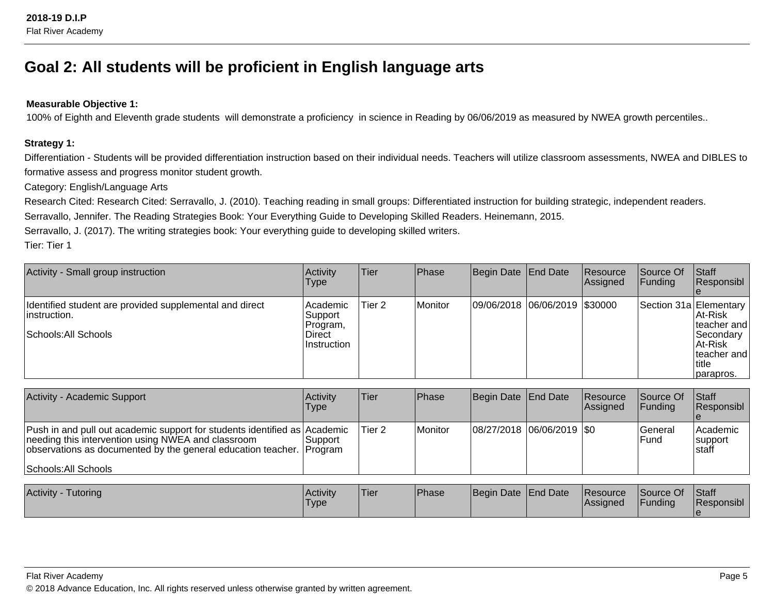# **Goal 2: All students will be proficient in English language arts**

# **Measurable Objective 1:**

100% of Eighth and Eleventh grade students will demonstrate a proficiency in science in Reading by 06/06/2019 as measured by NWEA growth percentiles..

### **Strategy 1:**

Differentiation - Students will be provided differentiation instruction based on their individual needs. Teachers will utilize classroom assessments, NWEA and DIBLES toformative assess and progress monitor student growth.

Category: English/Language Arts

Research Cited: Research Cited: Serravallo, J. (2010). Teaching reading in small groups: Differentiated instruction for building strategic, independent readers.

Serravallo, Jennifer. The Reading Strategies Book: Your Everything Guide to Developing Skilled Readers. Heinemann, 2015.

Serravallo, J. (2017). The writing strategies book: Your everything guide to developing skilled writers.

Tier: Tier 1

| Activity - Small group instruction                                                                                                                                                              | Activity<br>Type                                         | Tier              | Phase          | Begin Date                 | End Date | Resource<br>Assigned  | Source Of<br><b>Funding</b> | Staff<br>Responsibl                                                                                             |
|-------------------------------------------------------------------------------------------------------------------------------------------------------------------------------------------------|----------------------------------------------------------|-------------------|----------------|----------------------------|----------|-----------------------|-----------------------------|-----------------------------------------------------------------------------------------------------------------|
| Identified student are provided supplemental and direct<br>linstruction.<br> Schools: All Schools                                                                                               | Academic<br>Support<br>Program,<br>Direct<br>Instruction | Tier 2            | <b>Monitor</b> | 09/06/2018 06/06/2019      |          | \$30000               |                             | Section 31a Elementary<br>lAt-Risk<br>teacher and<br>Secondary<br>At-Risk<br>lteacher and<br>title<br>parapros. |
| Activity - Academic Support                                                                                                                                                                     | Activity<br>Type                                         | Tier              | Phase          | Begin Date End Date        |          | Resource<br>Assigned  | Source Of<br>Funding        | Staff<br>Responsibl                                                                                             |
| Push in and pull out academic support for students identified as Academic<br>needing this intervention using NWEA and classroom<br>observations as documented by the general education teacher. | Support<br>Program                                       | Tier <sub>2</sub> | Monitor        | 08/27/2018 06/06/2019  \$0 |          |                       | General<br>Fund             | Academic<br>support<br>Istaff                                                                                   |
| Schools: All Schools                                                                                                                                                                            |                                                          |                   |                |                            |          |                       |                             |                                                                                                                 |
| <b>Activity - Tutoring</b>                                                                                                                                                                      | Activity<br>Type                                         | Tier              | Phase          | Begin Date                 | End Date | Resource<br> Assigned | Source Of<br><b>Funding</b> | Staff<br> Responsibl                                                                                            |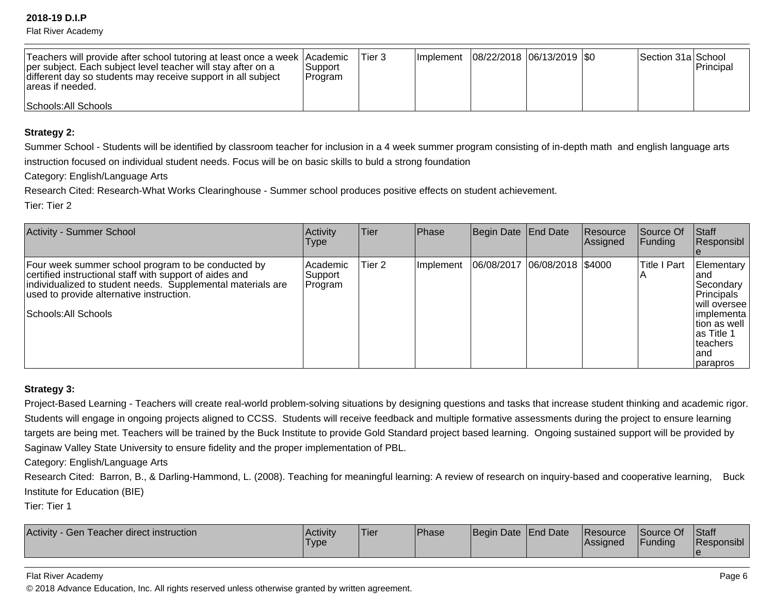Flat River Academy

| Teachers will provide after school tutoring at least once a week Academic<br>per subject. Each subject level teacher will stay after on a<br>different day so students may receive support in all subject<br>lareas if needed. | Support<br>IProgram | 'Tier 3 | Implement   08/22/2018   06/13/2019   \$0 |  | Section 31a School | Principal |
|--------------------------------------------------------------------------------------------------------------------------------------------------------------------------------------------------------------------------------|---------------------|---------|-------------------------------------------|--|--------------------|-----------|
| Schools: All Schools                                                                                                                                                                                                           |                     |         |                                           |  |                    |           |

### **Strategy 2:**

Summer School - Students will be identified by classroom teacher for inclusion in a 4 week summer program consisting of in-depth math and english language artsinstruction focused on individual student needs. Focus will be on basic skills to buld a strong foundation

Category: English/Language Arts

Research Cited: Research-What Works Clearinghouse - Summer school produces positive effects on student achievement.

Tier: Tier 2

| <b>Activity - Summer School</b>                                                                                                                                                                                                                  | Activity<br><b>Type</b>           | Tier   | Phase     | Begin Date End Date            | Resource<br>Assigned | Source Of<br> Funding | <b>Staff</b><br>Responsibl                                                                                                                      |
|--------------------------------------------------------------------------------------------------------------------------------------------------------------------------------------------------------------------------------------------------|-----------------------------------|--------|-----------|--------------------------------|----------------------|-----------------------|-------------------------------------------------------------------------------------------------------------------------------------------------|
| Four week summer school program to be conducted by<br>certified instructional staff with support of aides and<br>individualized to student needs. Supplemental materials are<br>used to provide alternative instruction.<br>Schools: All Schools | l Academic<br>∣Support<br>Program | Tier 2 | Implement | 06/08/2017 06/08/2018   \$4000 |                      | lTitle I Part         | Elementary<br>land<br>Secondary<br>Principals<br>Iwill oversee<br> implementa<br>Ition as well<br>las Title 1<br>Iteachers<br>land<br> parapros |

# **Strategy 3:**

Project-Based Learning - Teachers will create real-world problem-solving situations by designing questions and tasks that increase student thinking and academic rigor.Students will engage in ongoing projects aligned to CCSS. Students will receive feedback and multiple formative assessments during the project to ensure learningtargets are being met. Teachers will be trained by the Buck Institute to provide Gold Standard project based learning. Ongoing sustained support will be provided by Saginaw Valley State University to ensure fidelity and the proper implementation of PBL.

Category: English/Language Arts

Research Cited: Barron, B., & Darling-Hammond, L. (2008). Teaching for meaningful learning: A review of research on inquiry-based and cooperative learning, Buck Institute for Education (BIE)

Tier: Tier 1

| Activity<br>v - Gen Teacher direct instruction_ | l Acti∨it∨<br>'Type | <b>Tier</b> | Phase | Begin Date End Date |  | <b>Resource</b><br><b>LAssigned</b> | Source Of<br>Funding | <b>Staff</b><br>Responsibl |
|-------------------------------------------------|---------------------|-------------|-------|---------------------|--|-------------------------------------|----------------------|----------------------------|
|-------------------------------------------------|---------------------|-------------|-------|---------------------|--|-------------------------------------|----------------------|----------------------------|

#### Flat River Academy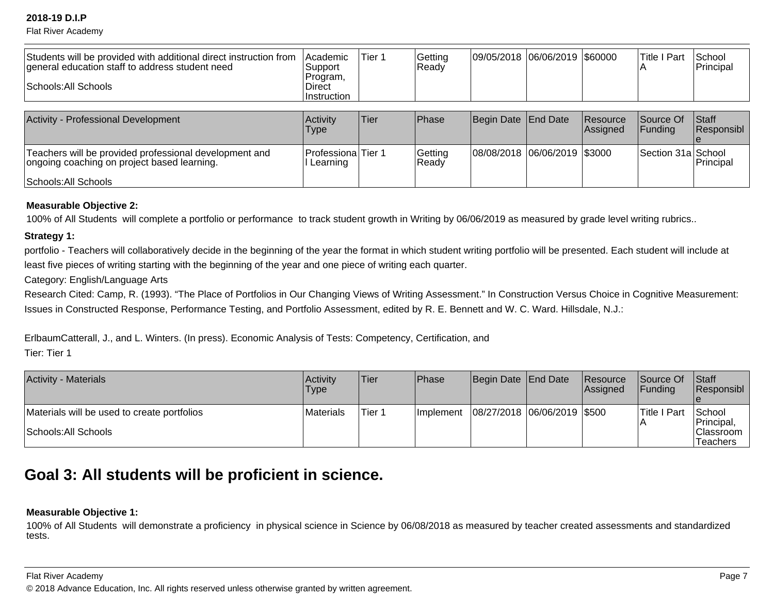Flat River Academy

| Students will be provided with additional direct instruction from<br>general education staff to address student need<br>Schools: All Schools | Academic<br> Support <br>Program,<br>Direct<br>Instruction | Tier 1 | Getting<br>Ready | 09/05/2018 06/06/2019 \$60000 |                      | <b>Title I Part</b><br>$\overline{A}$ | School<br>Principal |
|----------------------------------------------------------------------------------------------------------------------------------------------|------------------------------------------------------------|--------|------------------|-------------------------------|----------------------|---------------------------------------|---------------------|
| <b>Activity - Professional Development</b>                                                                                                   | Activity<br><b>Type</b>                                    | Tier   | Phase            | Begin Date End Date           | Resource<br>Assigned | Source Of<br><b>IFunding</b>          | Staff<br>Responsibl |
| Teachers will be provided professional development and<br>ongoing coaching on project based learning.<br>Schools: All Schools                | Professiona Tier 1<br>Learning                             |        | Getting<br>Ready | 08/08/2018 06/06/2019 \$3000  |                      | Section 31a School                    | Principal           |

### **Measurable Objective 2:**

100% of All Students will complete a portfolio or performance to track student growth in Writing by 06/06/2019 as measured by grade level writing rubrics..

### **Strategy 1:**

portfolio - Teachers will collaboratively decide in the beginning of the year the format in which student writing portfolio will be presented. Each student will include at least five pieces of writing starting with the beginning of the year and one piece of writing each quarter.

# Category: English/Language Arts

Research Cited: Camp, R. (1993). "The Place of Portfolios in Our Changing Views of Writing Assessment." In Construction Versus Choice in Cognitive Measurement: Issues in Constructed Response, Performance Testing, and Portfolio Assessment, edited by R. E. Bennett and W. C. Ward. Hillsdale, N.J.:

ErlbaumCatterall, J., and L. Winters. (In press). Economic Analysis of Tests: Competency, Certification, and

Tier: Tier 1

| <b>Activity - Materials</b>                                         | Activity<br>Type | <b>Tier</b> | Phase      | Begin Date End Date           | Resource<br>Assigned | <b>Source Of</b><br><b>IFundina</b> | <b>Staff</b><br><b>Responsibl</b>                     |
|---------------------------------------------------------------------|------------------|-------------|------------|-------------------------------|----------------------|-------------------------------------|-------------------------------------------------------|
| Materials will be used to create portfolios<br>Schools: All Schools | Materials        | Tier 1      | Ilmplement | 08/27/2018  06/06/2019  \$500 |                      | Title I Part                        | School<br>Principal,<br><b>Classroom</b><br> Teachers |

# **Goal 3: All students will be proficient in science.**

# **Measurable Objective 1:**

100% of All Students will demonstrate a proficiency in physical science in Science by 06/08/2018 as measured by teacher created assessments and standardizedtests.

#### Flat River Academy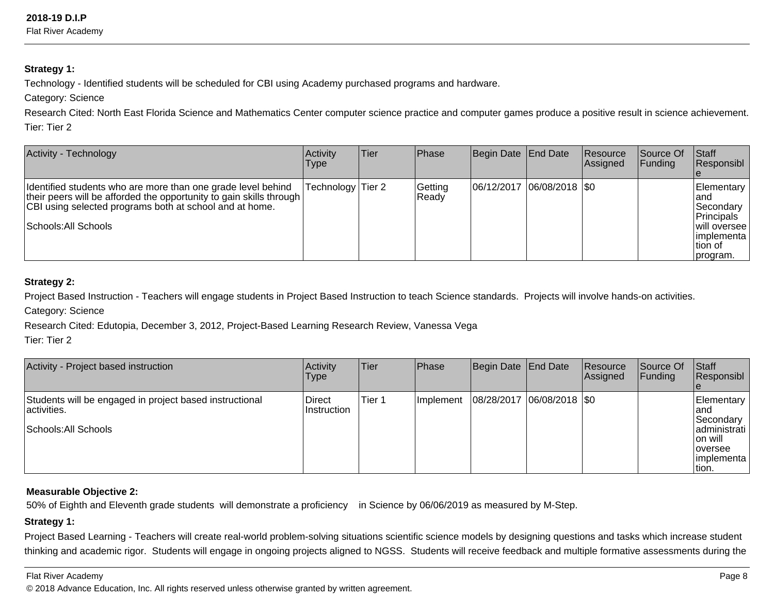Flat River Academy

## **Strategy 1:**

Technology - Identified students will be scheduled for CBI using Academy purchased programs and hardware.

Category: Science

Research Cited: North East Florida Science and Mathematics Center computer science practice and computer games produce a positive result in science achievement. Tier: Tier 2

| Activity - Technology                                                                                                                                                                                                  | Activity<br><b>Type</b> | lTier. | Phase            | Begin Date End Date           | <b>Resource</b><br> Assigned | <b>Source Of</b><br> Funding | Staff<br>Responsibl                                                                                       |
|------------------------------------------------------------------------------------------------------------------------------------------------------------------------------------------------------------------------|-------------------------|--------|------------------|-------------------------------|------------------------------|------------------------------|-----------------------------------------------------------------------------------------------------------|
| Identified students who are more than one grade level behind<br>their peers will be afforded the opportunity to gain skills through<br>CBI using selected programs both at school and at home.<br>Schools: All Schools | Technology Tier 2       |        | Getting<br>Ready | $ 06/12/2017 06/08/2018 $ \$0 |                              |                              | Elementary<br>land<br>Secondary<br>Principals<br> will oversee  <br> implementa  <br>Ition of<br>program. |

# **Strategy 2:**

Project Based Instruction - Teachers will engage students in Project Based Instruction to teach Science standards. Projects will involve hands-on activities.

Category: Science

Research Cited: Edutopia, December 3, 2012, Project-Based Learning Research Review, Vanessa Vega

Tier: Tier 2

| Activity - Project based instruction                                                           | Activity<br>Type       | Tier   | <b>Phase</b>     | Begin Date End Date         | Resource<br><b>Assigned</b> | Source Of<br> Funding | Staff<br>Responsibl                                                                              |
|------------------------------------------------------------------------------------------------|------------------------|--------|------------------|-----------------------------|-----------------------------|-----------------------|--------------------------------------------------------------------------------------------------|
| Students will be engaged in project based instructional<br>activities.<br>Schools: All Schools | Direct<br>∣Instruction | Tier 1 | <b>Implement</b> | 08/28/2017  06/08/2018  \$0 |                             |                       | Elementary<br>land<br>Secondary<br>administrati<br>Ion will<br>loversee<br>limplementa<br>Ition. |

# **Measurable Objective 2:**

50% of Eighth and Eleventh grade students will demonstrate a proficiency in Science by 06/06/2019 as measured by M-Step.

# **Strategy 1:**

Project Based Learning - Teachers will create real-world problem-solving situations scientific science models by designing questions and tasks which increase student thinking and academic rigor. Students will engage in ongoing projects aligned to NGSS. Students will receive feedback and multiple formative assessments during the

#### Flat River Academy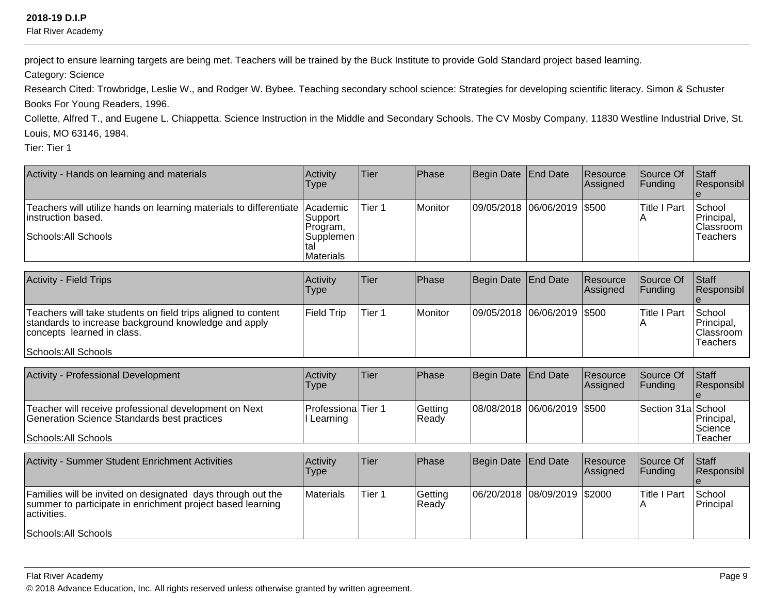Flat River Academy

project to ensure learning targets are being met. Teachers will be trained by the Buck Institute to provide Gold Standard project based learning.

Category: Science

Research Cited: Trowbridge, Leslie W., and Rodger W. Bybee. Teaching secondary school science: Strategies for developing scientific literacy. Simon & Schuster Books For Young Readers, 1996.

Collette, Alfred T., and Eugene L. Chiappetta. Science Instruction in the Middle and Secondary Schools. The CV Mosby Company, 11830 Westline Industrial Drive, St.Louis, MO 63146, 1984.

Tier: Tier 1

| Activity - Hands on learning and materials                                                         | Activity<br>Type                | lTier. | Phase   | Begin Date End Date         | Resource<br>Assigned | <b>Source Of</b><br>IFundina | <b>Staff</b><br>Responsibl        |
|----------------------------------------------------------------------------------------------------|---------------------------------|--------|---------|-----------------------------|----------------------|------------------------------|-----------------------------------|
| Teachers will utilize hands on learning materials to differentiate Academic<br>linstruction based. | Support <br>Program,            | Tier 1 | Monitor | 09/05/2018 06/06/2019 \$500 |                      | Title I Part                 | School<br>Principal,<br>Classroom |
| Schools: All Schools                                                                               | Supplemen  <br><b>Materials</b> |        |         |                             |                      |                              | Teachers                          |

| <b>Activity - Field Trips</b>                                                                                                                                               | Activity<br>Type | Tier   | <b>Phase</b> | Begin Date End Date |                             | Resource<br><b>Assigned</b> | Source Of<br><b>IFundina</b> | <b>Staff</b><br><b>Responsibl</b>                     |
|-----------------------------------------------------------------------------------------------------------------------------------------------------------------------------|------------------|--------|--------------|---------------------|-----------------------------|-----------------------------|------------------------------|-------------------------------------------------------|
| Teachers will take students on field trips aligned to content<br>standards to increase background knowledge and apply<br>concepts learned in class.<br>Schools: All Schools | Field Trip       | Tier 1 | Monitor      |                     | 09/05/2018 06/06/2019 \$500 |                             | lTitle I Part                | School<br>Principal,<br> Classroom<br><b>Teachers</b> |

| Activity - Professional Development                                                                                          | Activity<br>Type                      | Tier | <b>IPhase</b>    | Begin Date End Date         | <b>Resource</b><br><b>Assigned</b> | <b>Source Of</b><br><b>IFundina</b> | <b>Staff</b><br><b>Responsibl</b> |
|------------------------------------------------------------------------------------------------------------------------------|---------------------------------------|------|------------------|-----------------------------|------------------------------------|-------------------------------------|-----------------------------------|
| Teacher will receive professional development on Next<br>Generation Science Standards best practices<br>Schools: All Schools | <b>ProfessionalTier 1</b><br>Learning |      | Getting<br>Ready | 08/08/2018 06/06/2019 \$500 |                                    | Section 31a School                  | Principal,<br>Science<br>Teacher  |

| <b>Activity - Summer Student Enrichment Activities</b>                                                                                   | Activity<br>Type | Tier   | Phase            | Begin Date End Date |                              | Resource<br><b>Assigned</b> | <b>Source Of</b><br>IFundina | <b>Staff</b><br>Responsibl |
|------------------------------------------------------------------------------------------------------------------------------------------|------------------|--------|------------------|---------------------|------------------------------|-----------------------------|------------------------------|----------------------------|
| Families will be invited on designated days through out the<br>summer to participate in enrichment project based learning<br>activities. | Materials        | Tier 1 | Getting<br>Ready |                     | 06/20/2018 08/09/2019 \$2000 |                             | <b>Title I Part</b>          | School<br><b>Principal</b> |
| Schools: All Schools                                                                                                                     |                  |        |                  |                     |                              |                             |                              |                            |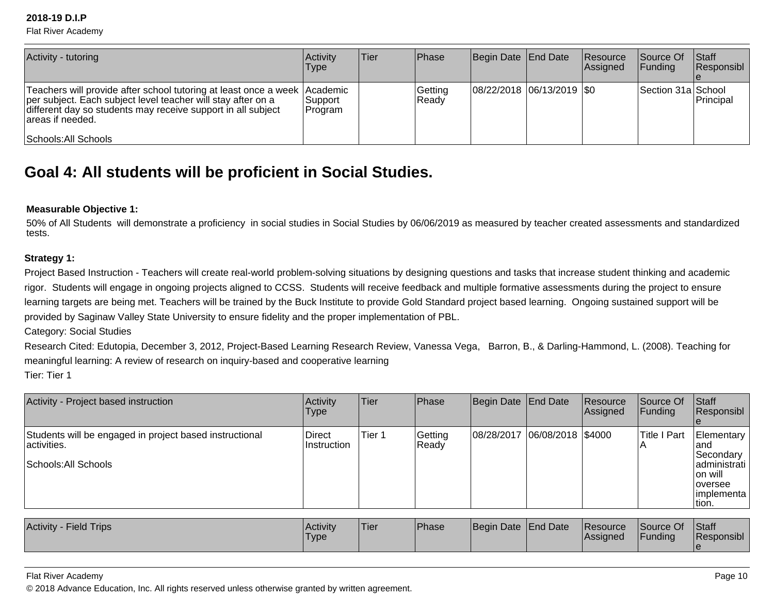Flat River Academy

| Activity - tutoring                                                                                                                                                                                                                                      | <b>Activity</b><br>Type | lTier | <b>IPhase</b>     | Begin Date End Date           | <b>Resource</b><br>Assigned | <b>Source Of</b><br>IFundina | <b>Staff</b><br>Responsibl |
|----------------------------------------------------------------------------------------------------------------------------------------------------------------------------------------------------------------------------------------------------------|-------------------------|-------|-------------------|-------------------------------|-----------------------------|------------------------------|----------------------------|
| Teachers will provide after school tutoring at least once a week   Academic<br>per subject. Each subject level teacher will stay after on a<br>different day so students may receive support in all subject<br>lareas if needed.<br>Schools: All Schools | Support <br> Program    |       | Getting<br> Readv | $ 08/22/2018 06/13/2019 $ \$0 |                             | Section 31a School           | Principal                  |

# **Goal 4: All students will be proficient in Social Studies.**

### **Measurable Objective 1:**

 50% of All Students will demonstrate a proficiency in social studies in Social Studies by 06/06/2019 as measured by teacher created assessments and standardizedtests.

### **Strategy 1:**

Project Based Instruction - Teachers will create real-world problem-solving situations by designing questions and tasks that increase student thinking and academic rigor. Students will engage in ongoing projects aligned to CCSS. Students will receive feedback and multiple formative assessments during the project to ensurelearning targets are being met. Teachers will be trained by the Buck Institute to provide Gold Standard project based learning. Ongoing sustained support will be provided by Saginaw Valley State University to ensure fidelity and the proper implementation of PBL.

Category: Social Studies

 Research Cited: Edutopia, December 3, 2012, Project-Based Learning Research Review, Vanessa Vega, Barron, B., & Darling-Hammond, L. (2008). Teaching formeaningful learning: A review of research on inquiry-based and cooperative learningTier: Tier 1

| Activity - Project based instruction                                                           | Activity<br>Type      | <b>Tier</b> | Phase             | Begin Date End Date          | Resource<br>Assigned | Source Of<br><b>Funding</b> | Staff<br>Responsibl                                                                                |
|------------------------------------------------------------------------------------------------|-----------------------|-------------|-------------------|------------------------------|----------------------|-----------------------------|----------------------------------------------------------------------------------------------------|
| Students will be engaged in project based instructional<br>activities.<br>Schools: All Schools | Direct<br>Instruction | Tier 1      | Getting<br> Ready | 08/28/2017 06/08/2018 \$4000 |                      | Title I Part                | Elementary<br>land<br>Secondary<br>ladministrati<br>lon will<br>loversee<br> implementa  <br>tion. |
|                                                                                                |                       |             |                   |                              |                      |                             |                                                                                                    |

| Activity<br><b>Field Trips</b> | <b>Activity</b><br>'Type | <b>Tier</b> | <b>Phase</b> | Begin Date End Date |  | <b>Resource</b><br><b>Assigned</b> | Source Of<br>Funding | Staff<br>Responsibl |
|--------------------------------|--------------------------|-------------|--------------|---------------------|--|------------------------------------|----------------------|---------------------|
|--------------------------------|--------------------------|-------------|--------------|---------------------|--|------------------------------------|----------------------|---------------------|

#### Flat River Academy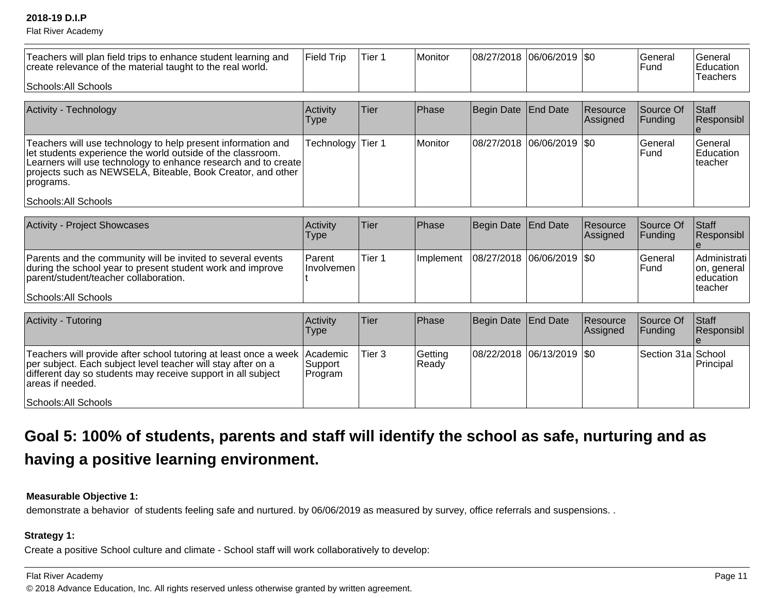Flat River Academy

| Teachers will plan field trips to enhance student learning and<br>create relevance of the material taught to the real world.                                                                                                                                              | Field Trip                     | Tier 1            | Monitor          | 08/27/2018 | $ 06/06/2019 $ \$0 |                      | General<br>Fund             | General<br>Education<br>Teachers                    |
|---------------------------------------------------------------------------------------------------------------------------------------------------------------------------------------------------------------------------------------------------------------------------|--------------------------------|-------------------|------------------|------------|--------------------|----------------------|-----------------------------|-----------------------------------------------------|
| Schools: All Schools                                                                                                                                                                                                                                                      |                                |                   |                  |            |                    |                      |                             |                                                     |
| Activity - Technology                                                                                                                                                                                                                                                     | Activity<br><b>Type</b>        | Tier              | Phase            | Begin Date | <b>End Date</b>    | Resource<br>Assigned | Source Of<br>Funding        | Staff<br>Responsibl                                 |
| Teachers will use technology to help present information and<br>let students experience the world outside of the classroom.<br>Learners will use technology to enhance research and to create<br>projects such as NEWSELA, Biteable, Book Creator, and other<br>programs. | Technology                     | Tier <sub>1</sub> | Monitor          | 08/27/2018 | 06/06/2019         | l\$0                 | General<br>Fund             | General<br>Education<br>teacher                     |
| Schools: All Schools                                                                                                                                                                                                                                                      |                                |                   |                  |            |                    |                      |                             |                                                     |
|                                                                                                                                                                                                                                                                           |                                |                   |                  |            |                    |                      |                             |                                                     |
| Activity - Project Showcases                                                                                                                                                                                                                                              | Activity<br><b>Type</b>        | Tier              | Phase            | Begin Date | <b>End Date</b>    | Resource<br>Assigned | Source Of<br>Funding        | <b>Staff</b><br>Responsibl                          |
| Parents and the community will be invited to several events<br>during the school year to present student work and improve<br>parent/student/teacher collaboration.                                                                                                        | Parent<br>Involvemen           | Tier <sub>1</sub> | Implement        | 08/27/2018 | $ 06/06/2019 $ \$0 |                      | General<br>Fund             | Administrati<br>on, general<br>education<br>teacher |
| Schools: All Schools                                                                                                                                                                                                                                                      |                                |                   |                  |            |                    |                      |                             |                                                     |
|                                                                                                                                                                                                                                                                           |                                |                   |                  |            |                    |                      |                             |                                                     |
| <b>Activity - Tutoring</b>                                                                                                                                                                                                                                                | Activity<br><b>Type</b>        | Tier              | Phase            | Begin Date | <b>End Date</b>    | Resource<br>Assigned | Source Of<br><b>Funding</b> | Staff<br>Responsibl                                 |
| Teachers will provide after school tutoring at least once a week<br>per subject. Each subject level teacher will stay after on a<br>different day so students may receive support in all subject<br>areas if needed.                                                      | Academic<br>Support<br>Program | Tier <sub>3</sub> | Getting<br>Ready | 08/22/2018 | 06/13/2019         | l\$0                 | Section 31a School          | Principal                                           |
| Schools: All Schools                                                                                                                                                                                                                                                      |                                |                   |                  |            |                    |                      |                             |                                                     |

# **Goal 5: 100% of students, parents and staff will identify the school as safe, nurturing and ashaving a positive learning environment.**

# **Measurable Objective 1:**

demonstrate a behavior of students feeling safe and nurtured. by 06/06/2019 as measured by survey, office referrals and suspensions. .

## **Strategy 1:**

Create a positive School culture and climate - School staff will work collaboratively to develop:

#### Flat River Academy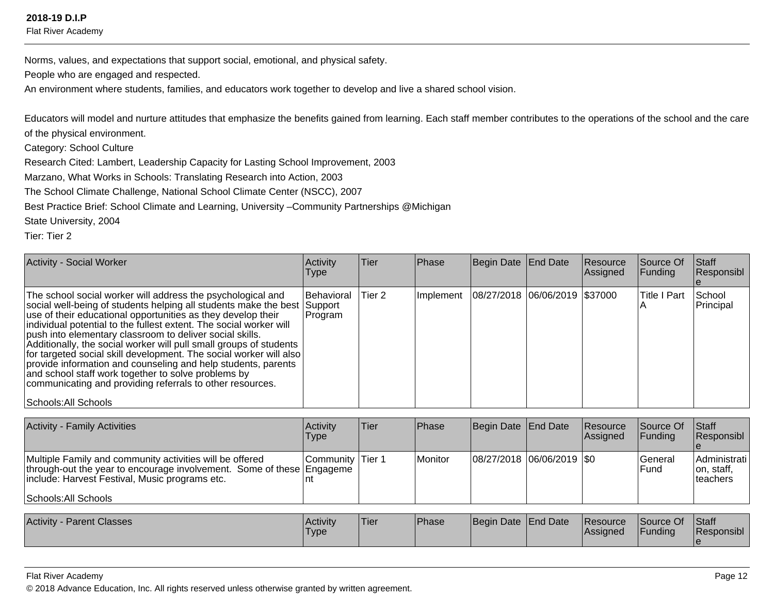Flat River Academy

Norms, values, and expectations that support social, emotional, and physical safety.

People who are engaged and respected.

An environment where students, families, and educators work together to develop and live a shared school vision.

Educators will model and nurture attitudes that emphasize the benefits gained from learning. Each staff member contributes to the operations of the school and the careof the physical environment.

Category: School Culture

Research Cited: Lambert, Leadership Capacity for Lasting School Improvement, 2003

Marzano, What Works in Schools: Translating Research into Action, 2003

The School Climate Challenge, National School Climate Center (NSCC), 2007

Best Practice Brief: School Climate and Learning, University –Community Partnerships @Michigan

State University, 2004

Tier: Tier 2

| Activity - Social Worker                                                                                                                                                                                                                                                                                                                                                                                                                                                                                                                                                                                                                                                                           | Activity<br><b>Type</b> | Tier   | Phase | Begin Date End Date                           | Resource<br>Assigned | Source Of<br>Funding | Staff<br>Responsibl |
|----------------------------------------------------------------------------------------------------------------------------------------------------------------------------------------------------------------------------------------------------------------------------------------------------------------------------------------------------------------------------------------------------------------------------------------------------------------------------------------------------------------------------------------------------------------------------------------------------------------------------------------------------------------------------------------------------|-------------------------|--------|-------|-----------------------------------------------|----------------------|----------------------|---------------------|
| The school social worker will address the psychological and<br>social well-being of students helping all students make the best Support<br>use of their educational opportunities as they develop their<br>individual potential to the fullest extent. The social worker will<br>push into elementary classroom to deliver social skills.<br>Additionally, the social worker will pull small groups of students<br>for targeted social skill development. The social worker will also<br>provide information and counseling and help students, parents<br>and school staff work together to solve problems by<br>communicating and providing referrals to other resources.<br>Schools: All Schools | Behavioral<br>Program   | Tier 2 |       | Implement   08/27/2018   06/06/2019   \$37000 |                      | <b>Title I Part</b>  | School<br>Principal |

| 08/27/2018 06/06/2019 \$0<br>l Monitor<br>Multiple Family and community activities will be offered<br><b>Community Tier 1</b><br>lGeneral<br>through-out the year to encourage involvement. Some of these Engageme<br>on, staff,<br>lFund.<br>include: Harvest Festival, Music programs etc.<br>Iteachers<br>Schools: All Schools | <b>Activity - Family Activities</b> | <b>Activity</b><br>Type | Tier | <b>Phase</b> | Begin Date End Date | <b>Resource</b><br>Assigned | <b>Source Of</b><br>IFundina | <b>Staff</b><br>Responsibl |
|-----------------------------------------------------------------------------------------------------------------------------------------------------------------------------------------------------------------------------------------------------------------------------------------------------------------------------------|-------------------------------------|-------------------------|------|--------------|---------------------|-----------------------------|------------------------------|----------------------------|
|                                                                                                                                                                                                                                                                                                                                   |                                     |                         |      |              |                     |                             |                              | Administrati               |

| <b>Parent Classes</b><br>⊺Activity | Activity<br>'Type | <b>Tier</b> | Phase | Begin Date End Date | <b>Resource</b><br><b>Assigned</b> | Source Of<br>Funding | <b>Staff</b><br><b>Responsibl</b> |
|------------------------------------|-------------------|-------------|-------|---------------------|------------------------------------|----------------------|-----------------------------------|
|                                    |                   |             |       |                     |                                    |                      |                                   |

#### Flat River Academy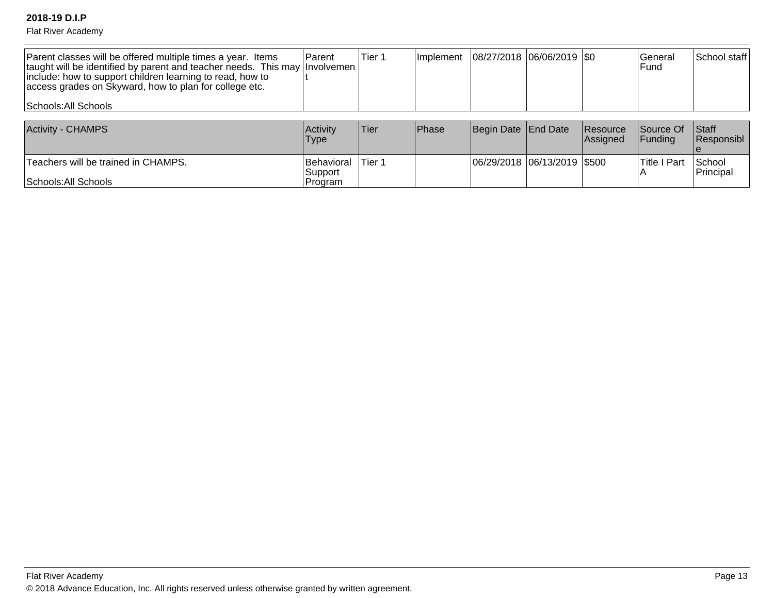Flat River Academy

| Parent classes will be offered multiple times a year. Items<br>  taught will be identified by parent and teacher needs. This may   Involvemen<br>include: how to support children learning to read, how to<br>access grades on Skyward, how to plan for college etc.<br>Schools: All Schools | l Parent        | lTier 1 |       | Implement   08/27/2018   06/06/2019   \$0 |          | lGeneral<br>l Fund | School staff |
|----------------------------------------------------------------------------------------------------------------------------------------------------------------------------------------------------------------------------------------------------------------------------------------------|-----------------|---------|-------|-------------------------------------------|----------|--------------------|--------------|
| <b>Activity - CHAMPS</b>                                                                                                                                                                                                                                                                     | <b>Activity</b> | Tier    | Phase | Begin Date End Date                       | Resource | Source Of Staff    |              |

| Activity - CHAMPS                   | l Activitv<br>Type            | !Tier⊹  | <b>IPhase</b> | Begin Date   End Date         | <b>Resource</b><br><b>IAssianed</b> | <b>ISource Of</b><br><b>IFundina</b> | <b>Staff</b><br><b>Responsibl</b> |
|-------------------------------------|-------------------------------|---------|---------------|-------------------------------|-------------------------------------|--------------------------------------|-----------------------------------|
| Teachers will be trained in CHAMPS. | <b>IBehavioral</b><br>Support | `Tier ∶ |               | 06/29/2018  06/13/2019  \$500 |                                     | lTitle I<br>Part                     | School<br><b>Principal</b>        |
| Schools: All Schools                | 'Program                      |         |               |                               |                                     |                                      |                                   |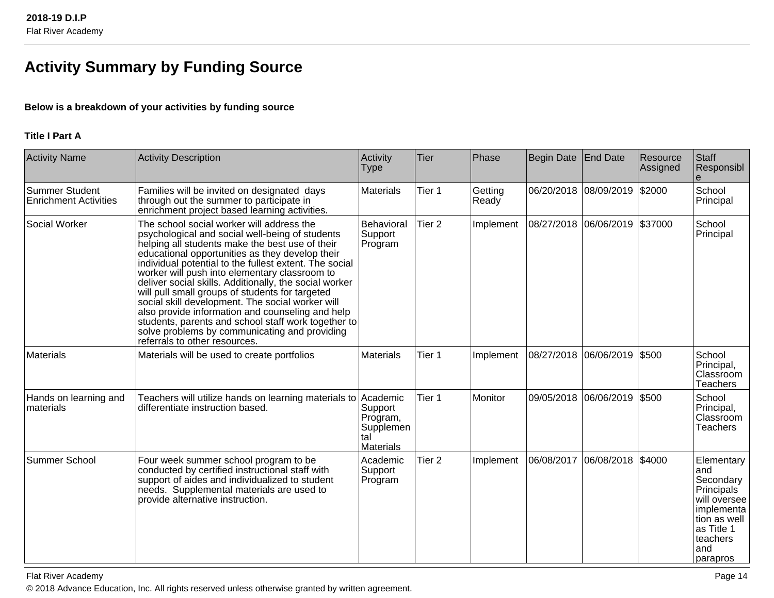# **Activity Summary by Funding Source**

# **Below is a breakdown of your activities by funding source**

# **Title I Part A**

| <b>Activity Name</b>                           | <b>Activity Description</b>                                                                                                                                                                                                                                                                                                                                                                                                                                                                                                                                                                                                                                                 | Activity<br><b>Type</b>                                     | <b>Tier</b>       | Phase            | Begin Date   End Date |                       | Resource<br>Assigned | Staff<br>Responsibl                                                                                                                             |
|------------------------------------------------|-----------------------------------------------------------------------------------------------------------------------------------------------------------------------------------------------------------------------------------------------------------------------------------------------------------------------------------------------------------------------------------------------------------------------------------------------------------------------------------------------------------------------------------------------------------------------------------------------------------------------------------------------------------------------------|-------------------------------------------------------------|-------------------|------------------|-----------------------|-----------------------|----------------------|-------------------------------------------------------------------------------------------------------------------------------------------------|
| Summer Student<br><b>Enrichment Activities</b> | Families will be invited on designated days<br>through out the summer to participate in<br>enrichment project based learning activities.                                                                                                                                                                                                                                                                                                                                                                                                                                                                                                                                    | Materials                                                   | Tier 1            | Getting<br>Ready |                       | 06/20/2018 08/09/2019 | \$2000               | School<br>Principal                                                                                                                             |
| Social Worker                                  | The school social worker will address the<br>psychological and social well-being of students<br>helping all students make the best use of their<br>educational opportunities as they develop their<br>individual potential to the fullest extent. The social<br>worker will push into elementary classroom to<br>deliver social skills. Additionally, the social worker<br>will pull small groups of students for targeted<br>social skill development. The social worker will<br>also provide information and counseling and help<br>students, parents and school staff work together to<br>solve problems by communicating and providing<br>referrals to other resources. | Behavioral<br>Support<br>Program                            | Tier <sub>2</sub> | Implement        |                       | 08/27/2018 06/06/2019 | \$37000              | School<br>Principal                                                                                                                             |
| Materials                                      | Materials will be used to create portfolios                                                                                                                                                                                                                                                                                                                                                                                                                                                                                                                                                                                                                                 | <b>Materials</b>                                            | Tier 1            | Implement        | 08/27/2018 06/06/2019 |                       | \$500                | School<br>Principal,<br>Classroom<br><b>Teachers</b>                                                                                            |
| Hands on learning and<br>materials             | Teachers will utilize hands on learning materials to Academic<br>differentiate instruction based.                                                                                                                                                                                                                                                                                                                                                                                                                                                                                                                                                                           | Support<br>Program,<br>Supplemen<br>tal<br><b>Materials</b> | Tier 1            | Monitor          |                       | 09/05/2018 06/06/2019 | \$500                | School<br>Principal,<br>Classroom<br><b>Teachers</b>                                                                                            |
| Summer School                                  | Four week summer school program to be<br>conducted by certified instructional staff with<br>support of aides and individualized to student<br>needs. Supplemental materials are used to<br>provide alternative instruction.                                                                                                                                                                                                                                                                                                                                                                                                                                                 | Academic<br>Support<br>Program                              | Tier <sub>2</sub> | Implement        | 06/08/2017            | 06/08/2018            | \$4000               | Elementary<br>and<br>Secondary<br><b>Principals</b><br>will oversee<br>implementa<br>tion as well<br>as Title 1<br>teachers<br>land<br>parapros |

Flat River Academyy and the contract of the contract of the contract of the contract of the contract of the contract of the contract of the contract of the contract of the contract of the contract of the contract of the contract of the cont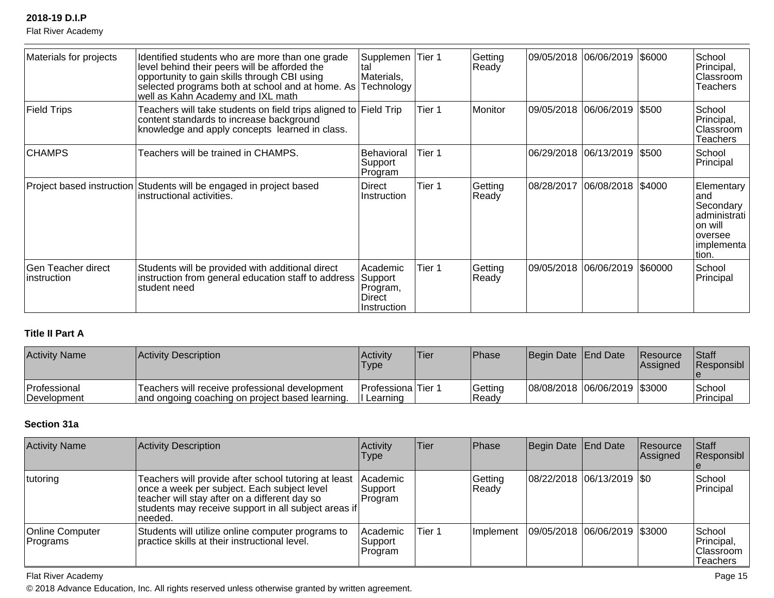Flat River Academy

| Materials for projects                   | Identified students who are more than one grade<br>level behind their peers will be afforded the<br>opportunity to gain skills through CBI using<br>selected programs both at school and at home. As Technology<br>well as Kahn Academy and IXL math | Supplemen<br>tal<br>Materials,                           | Tier 1 | Getting<br>Ready |            | 09/05/2018 06/06/2019         | \$6000  | School<br>Principal,<br>Classroom<br>Teachers                                                     |
|------------------------------------------|------------------------------------------------------------------------------------------------------------------------------------------------------------------------------------------------------------------------------------------------------|----------------------------------------------------------|--------|------------------|------------|-------------------------------|---------|---------------------------------------------------------------------------------------------------|
| <b>Field Trips</b>                       | Teachers will take students on field trips aligned to Field Trip<br>content standards to increase background<br>knowledge and apply concepts learned in class.                                                                                       |                                                          | Tier 1 | Monitor          |            | 09/05/2018  06/06/2019  \$500 |         | School<br>Principal,<br>lClassroom<br><b>Teachers</b>                                             |
| <b>CHAMPS</b>                            | Teachers will be trained in CHAMPS.                                                                                                                                                                                                                  | <b>Behavioral</b><br>Support<br>Program                  | Tier 1 |                  |            | 06/29/2018  06/13/2019  \$500 |         | School<br>Principal                                                                               |
|                                          | Project based instruction Students will be engaged in project based<br>instructional activities.                                                                                                                                                     | Direct<br>Instruction                                    | Tier 1 | Getting<br>Ready | 08/28/2017 | 06/08/2018                    | \$4000  | Elementary<br>land<br>Secondary<br>administrati<br>on will<br>loversee<br> implementa  <br>ltion. |
| Gen Teacher direct<br><i>instruction</i> | Students will be provided with additional direct<br>instruction from general education staff to address<br>student need                                                                                                                              | Academic<br>Support<br>Program,<br>Direct<br>Instruction | Tier 1 | Getting<br>Ready | 09/05/2018 | 06/06/2019                    | \$60000 | School<br>Principal                                                                               |

# **Title II Part A**

| <b>Activity Name</b>                | Activity Description                                                                              | Activity<br>Type                  | 'Tier | <b>Phase</b>     | Begin Date End Date |                                 | <b>Resource</b><br><b>IAssigned</b> | <b>Staff</b><br><b>Responsibl</b> |
|-------------------------------------|---------------------------------------------------------------------------------------------------|-----------------------------------|-------|------------------|---------------------|---------------------------------|-------------------------------------|-----------------------------------|
| <b>Professional</b><br> Development | Teachers will receive professional development<br>and ongoing coaching on project based learning. | IProfessionalTier 1<br>I Learning |       | Getting<br>Ready |                     | 08/08/2018  06/06/2019   \$3000 |                                     | School<br>Principal               |

# **Section 31a**

| <b>Activity Name</b>               | Activity Description                                                                                                                                                                                                    | Activity<br><b>Type</b>         | Tier   | <b>Phase</b>      | Begin Date End Date           | Resource<br>Assigned | Staff<br>Responsibl                                   |
|------------------------------------|-------------------------------------------------------------------------------------------------------------------------------------------------------------------------------------------------------------------------|---------------------------------|--------|-------------------|-------------------------------|----------------------|-------------------------------------------------------|
| tutoring                           | Teachers will provide after school tutoring at least<br>once a week per subject. Each subject level<br>teacher will stay after on a different day so<br>students may receive support in all subject areas if<br>needed. | Academic<br>Support<br>Program  |        | Getting<br> Ready | $ 08/22/2018 06/13/2019 $ \$0 |                      | School<br>Principal                                   |
| <b>Online Computer</b><br>Programs | Students will utilize online computer programs to<br>practice skills at their instructional level.                                                                                                                      | Academic<br>Support<br> Program | Tier 1 | Implement         | 09/05/2018 06/06/2019 \$3000  |                      | School<br>Principal,<br> Classroom<br><b>Teachers</b> |

Flat River Academy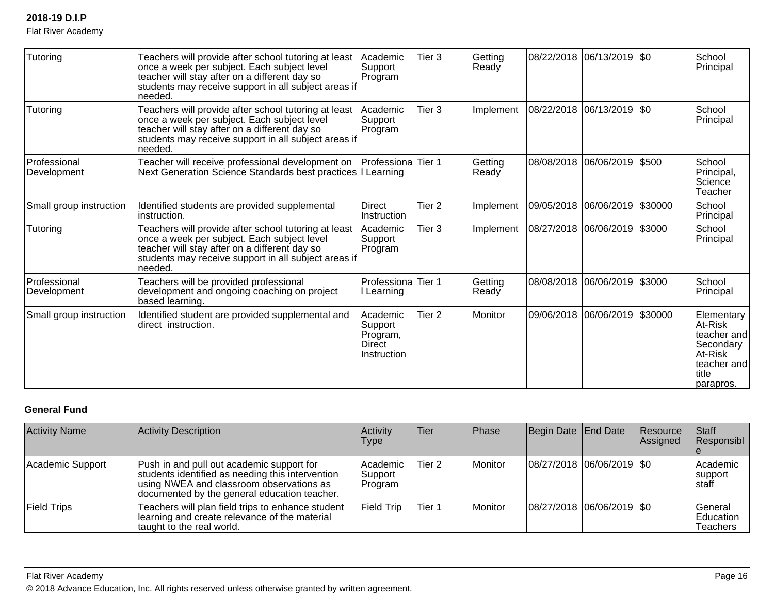Flat River Academy

| Tutoring                    | Teachers will provide after school tutoring at least<br>once a week per subject. Each subject level<br>teacher will stay after on a different day so<br>students may receive support in all subject areas if<br>needed. | Academic<br>Support<br>Program                           | Tier 3            | Getting<br>Ready | 08/22/2018 06/13/2019 \$0   |         | School<br>Principal                                                                               |
|-----------------------------|-------------------------------------------------------------------------------------------------------------------------------------------------------------------------------------------------------------------------|----------------------------------------------------------|-------------------|------------------|-----------------------------|---------|---------------------------------------------------------------------------------------------------|
| Tutoring                    | Teachers will provide after school tutoring at least<br>once a week per subject. Each subject level<br>teacher will stay after on a different day so<br>students may receive support in all subject areas if<br>needed. | Academic<br>Support<br>Program                           | Tier <sub>3</sub> | Implement        | 08/22/2018  06/13/2019  \$0 |         | School<br>Principal                                                                               |
| Professional<br>Development | Teacher will receive professional development on<br>Next Generation Science Standards best practices I Learning                                                                                                         | Professiona Tier 1                                       |                   | Getting<br>Ready | 08/08/2018 06/06/2019       | \$500   | School<br>Principal,<br>Science<br>Teacher                                                        |
| Small group instruction     | Identified students are provided supplemental<br>instruction.                                                                                                                                                           | <b>Direct</b><br>Instruction                             | Tier <sub>2</sub> | Implement        | 09/05/2018 06/06/2019       | \$30000 | School<br>Principal                                                                               |
| Tutoring                    | Teachers will provide after school tutoring at least<br>once a week per subject. Each subject level<br>teacher will stay after on a different day so<br>students may receive support in all subject areas if<br>needed. | Academic<br>Support<br>Program                           | Tier <sub>3</sub> | Implement        | 08/27/2018 06/06/2019       | \$3000  | School<br>Principal                                                                               |
| Professional<br>Development | Teachers will be provided professional<br>development and ongoing coaching on project<br>based learning.                                                                                                                | Professiona Tier 1<br>I Learning                         |                   | Getting<br>Ready | 08/08/2018 06/06/2019       | \$3000  | School<br>Principal                                                                               |
| Small group instruction     | Identified student are provided supplemental and<br>direct instruction.                                                                                                                                                 | Academic<br>Support<br>Program,<br>Direct<br>Instruction | Tier 2            | Monitor          | 09/06/2018 06/06/2019       | \$30000 | Elementary<br>At-Risk<br>teacher and<br>Secondary<br>At-Risk<br>teacher and<br>title<br>parapros. |

# **General Fund**

| <b>Activity Name</b> | Activity Description                                                                                                                                                                      | Activity<br>Type                | Tier   | <b>Phase</b> | Begin Date End Date |                               | Resource<br>Assigned | <b>Staff</b><br>Responsibl                     |
|----------------------|-------------------------------------------------------------------------------------------------------------------------------------------------------------------------------------------|---------------------------------|--------|--------------|---------------------|-------------------------------|----------------------|------------------------------------------------|
| Academic Support     | Push in and pull out academic support for<br>students identified as needing this intervention<br>using NWEA and classroom observations as<br>documented by the general education teacher. | lAcademic<br>Support<br>Program | Tier 2 | Monitor      |                     | $ 08/27/2018 06/06/2019 $ \$0 |                      | Academic<br>support<br>staff                   |
| <b>Field Trips</b>   | Teachers will plan field trips to enhance student<br>learning and create relevance of the material<br>taught to the real world.                                                           | <b>Field Trip</b>               | Tier 1 | Monitor      |                     | $ 08/27/2018 06/06/2019 $ \$0 |                      | <b>General</b><br>Education<br><b>Teachers</b> |

Flat River Academy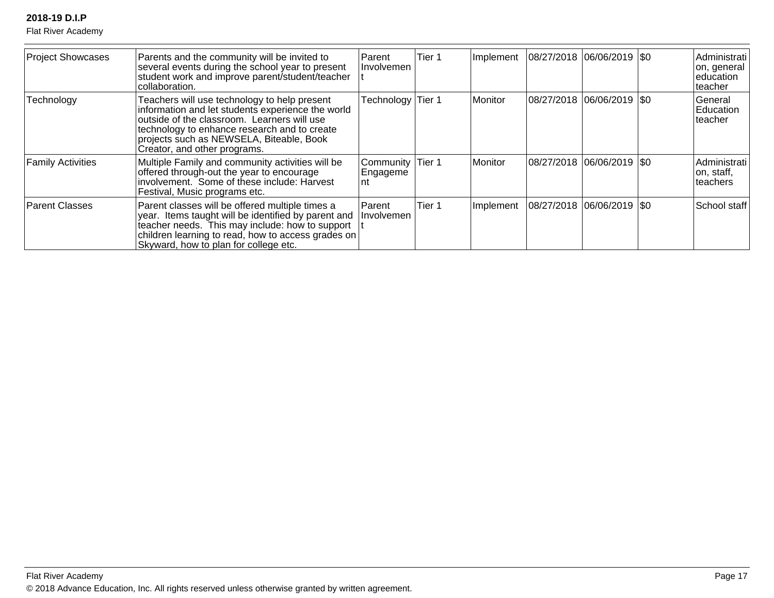Flat River Academy

| <b>Project Showcases</b> | Parents and the community will be invited to<br>several events during the school year to present<br>student work and improve parent/student/teacher<br>collaboration.                                                                                                        | Parent<br>Involvemen        | Tier 1 | Implement | $ 08/27/2018 06/06/2019 $ \$0 | Administrati<br> on, general  <br>education<br>teacher |
|--------------------------|------------------------------------------------------------------------------------------------------------------------------------------------------------------------------------------------------------------------------------------------------------------------------|-----------------------------|--------|-----------|-------------------------------|--------------------------------------------------------|
| Technology               | Teachers will use technology to help present<br>information and let students experience the world<br>outside of the classroom. Learners will use<br>technology to enhance research and to create<br>projects such as NEWSELA, Biteable, Book<br>Creator, and other programs. | Technology Tier 1           |        | Monitor   | 08/27/2018 06/06/2019   \$0   | General<br>Education<br>teacher                        |
| <b>Family Activities</b> | Multiple Family and community activities will be<br>offered through-out the year to encourage<br>involvement. Some of these include: Harvest<br>Festival, Music programs etc.                                                                                                | Community<br>Engageme<br>nt | Tier 1 | Monitor   | 08/27/2018 06/06/2019   \$0   | Administrati<br>on, staff,<br>Iteachers                |
| <b>Parent Classes</b>    | Parent classes will be offered multiple times a<br>year. Items taught will be identified by parent and<br>teacher needs. This may include: how to support<br>children learning to read, how to access grades on<br>Skyward, how to plan for college etc.                     | Parent<br><i>Involvemen</i> | Tier 1 | Implement | 08/27/2018 06/06/2019 \$0     | School staff                                           |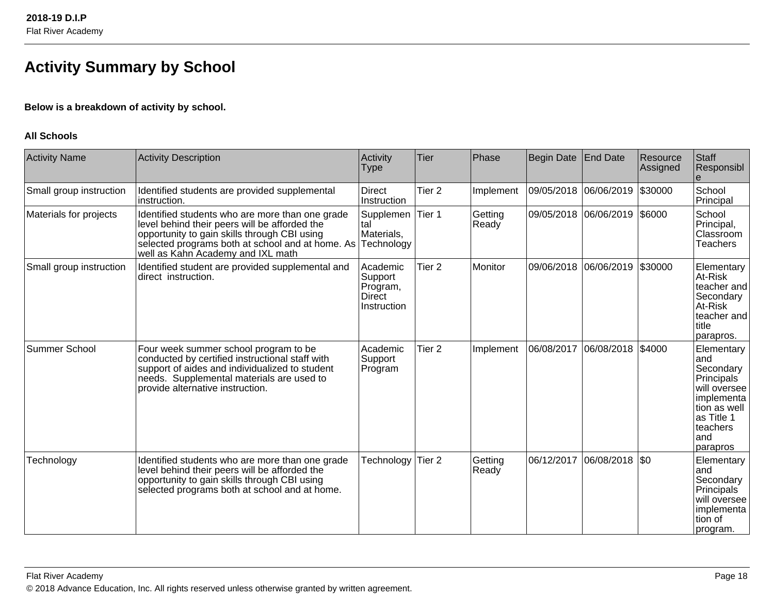# **Activity Summary by School**

# **Below is a breakdown of activity by school.**

### **All Schools**

| <b>Activity Name</b>    | <b>Activity Description</b>                                                                                                                                                                                                               | Activity<br><b>Type</b>                                         | <b>Tier</b>       | Phase            | <b>Begin Date</b> | End Date              | Resource<br>Assigned | Staff<br>Responsibl                                                                                                                     |
|-------------------------|-------------------------------------------------------------------------------------------------------------------------------------------------------------------------------------------------------------------------------------------|-----------------------------------------------------------------|-------------------|------------------|-------------------|-----------------------|----------------------|-----------------------------------------------------------------------------------------------------------------------------------------|
| Small group instruction | Identified students are provided supplemental<br>instruction.                                                                                                                                                                             | Direct<br>Instruction                                           | Tier <sub>2</sub> | Implement        | 09/05/2018        | 06/06/2019            | \$30000              | School<br>Principal                                                                                                                     |
| Materials for projects  | Identified students who are more than one grade<br>level behind their peers will be afforded the<br>opportunity to gain skills through CBI using<br>selected programs both at school and at home. As<br>well as Kahn Academy and IXL math | Supplemen<br>tal<br>Materials,<br>Technology                    | Tier 1            | Getting<br>Ready |                   | 09/05/2018 06/06/2019 | \$6000               | School<br>Principal,<br>Classroom<br><b>Teachers</b>                                                                                    |
| Small group instruction | Identified student are provided supplemental and<br>direct instruction.                                                                                                                                                                   | Academic<br>Support<br>Program,<br><b>Direct</b><br>Instruction | Tier <sub>2</sub> | Monitor          |                   | 09/06/2018 06/06/2019 | \$30000              | Elementary<br>At-Risk<br>teacher and<br>Secondary<br>At-Risk<br>teacher and<br><b>Ititle</b><br>parapros.                               |
| Summer School           | Four week summer school program to be<br>conducted by certified instructional staff with<br>support of aides and individualized to student<br>needs. Supplemental materials are used to<br>provide alternative instruction.               | Academic<br>Support<br>Program                                  | Tier <sub>2</sub> | Implement        | 06/08/2017        | 06/08/2018            | \$4000               | Elementary<br>and<br>Secondary<br>Principals<br>will oversee<br>implementa<br>tion as well<br>as Title 1<br>teachers<br>and<br>parapros |
| Technology              | Identified students who are more than one grade<br>level behind their peers will be afforded the<br>opportunity to gain skills through CBI using<br>selected programs both at school and at home.                                         | Technology                                                      | Tier <sub>2</sub> | Getting<br>Ready | 06/12/2017        | 06/08/2018            | <b>SO</b>            | Elementary<br>land<br>Secondary<br>Principals<br>will oversee<br>implementa<br>tion of<br>program.                                      |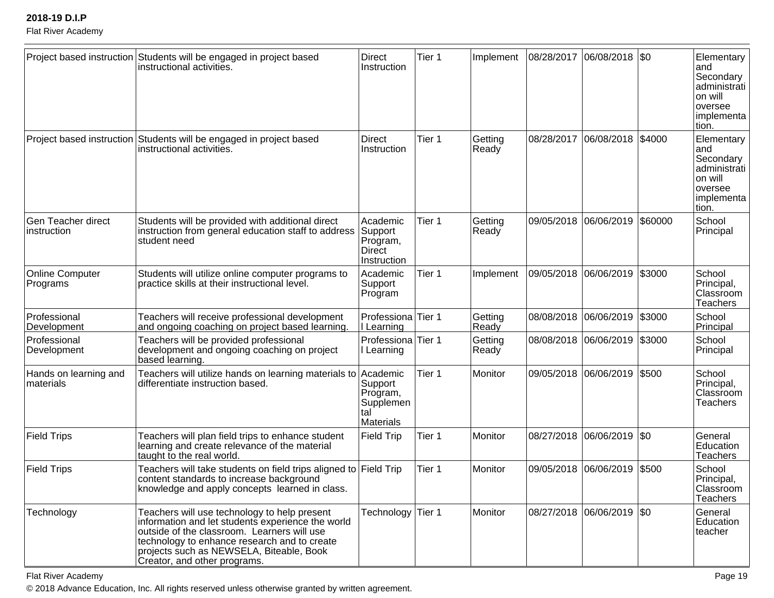#### Flat River Academy

|                                    | Project based instruction Students will be engaged in project based<br>instructional activities.                                                                                                                                                                             | Direct<br>Instruction                                    | Tier 1 | Implement        | 08/28/2017 | 06/08/2018   \$0            |         | Elementary  <br>land<br>Secondary<br>administrati<br>on will<br>oversee<br> implementa  <br>tion. |
|------------------------------------|------------------------------------------------------------------------------------------------------------------------------------------------------------------------------------------------------------------------------------------------------------------------------|----------------------------------------------------------|--------|------------------|------------|-----------------------------|---------|---------------------------------------------------------------------------------------------------|
|                                    | Project based instruction Students will be engaged in project based<br>instructional activities.                                                                                                                                                                             | <b>Direct</b><br>Instruction                             | Tier 1 | Getting<br>Ready | 08/28/2017 | 06/08/2018                  | \$4000  | Elementary  <br>land<br>Secondary<br>administrati  <br>on will<br>oversee<br>implementa<br>tion.  |
| Gen Teacher direct<br>instruction  | Students will be provided with additional direct<br>instruction from general education staff to address<br>student need                                                                                                                                                      | Academic<br>Support<br>Program,<br>Direct<br>Instruction | Tier 1 | Getting<br>Ready | 09/05/2018 | 06/06/2019                  | \$60000 | School<br>Principal                                                                               |
| <b>Online Computer</b><br>Programs | Students will utilize online computer programs to<br>practice skills at their instructional level.                                                                                                                                                                           | Academic<br>Support<br>Program                           | Tier 1 | Implement        |            | 09/05/2018 06/06/2019       | \$3000  | School<br>Principal,<br>Classroom<br><b>Teachers</b>                                              |
| Professional<br>Development        | Teachers will receive professional development<br>and ongoing coaching on project based learning.                                                                                                                                                                            | Professiona Tier 1<br>I Learning                         |        | Getting<br>Ready | 08/08/2018 | 06/06/2019                  | \$3000  | School<br>Principal                                                                               |
| Professional<br>Development        | Teachers will be provided professional<br>development and ongoing coaching on project<br>based learning.                                                                                                                                                                     | Professiona Tier 1<br>I Learning                         |        | Getting<br>Ready | 08/08/2018 | 06/06/2019                  | \$3000  | School<br>Principal                                                                               |
| Hands on learning and<br>materials | Teachers will utilize hands on learning materials to Academic<br>differentiate instruction based.                                                                                                                                                                            | Support<br>Program,<br>Supplemen<br>tal<br>Materials     | Tier 1 | Monitor          |            | 09/05/2018 06/06/2019 \$500 |         | School<br>Principal,<br>Classroom<br><b>Teachers</b>                                              |
| <b>Field Trips</b>                 | Teachers will plan field trips to enhance student<br>learning and create relevance of the material<br>taught to the real world.                                                                                                                                              | <b>Field Trip</b>                                        | Tier 1 | Monitor          | 08/27/2018 | 06/06/2019 \$0              |         | General<br>Education<br>Teachers                                                                  |
| <b>Field Trips</b>                 | Teachers will take students on field trips aligned to Field Trip<br>content standards to increase background<br>knowledge and apply concepts learned in class.                                                                                                               |                                                          | Tier 1 | Monitor          | 09/05/2018 | 06/06/2019                  | \$500   | School<br>Principal,<br>Classroom<br><b>Teachers</b>                                              |
| Technology                         | Teachers will use technology to help present<br>information and let students experience the world<br>outside of the classroom. Learners will use<br>technology to enhance research and to create<br>projects such as NEWSELA, Biteable, Book<br>Creator, and other programs. | Technology                                               | Tier 1 | Monitor          |            | 08/27/2018  06/06/2019  \$0 |         | General<br>Education<br>teacher                                                                   |

Flat River Academy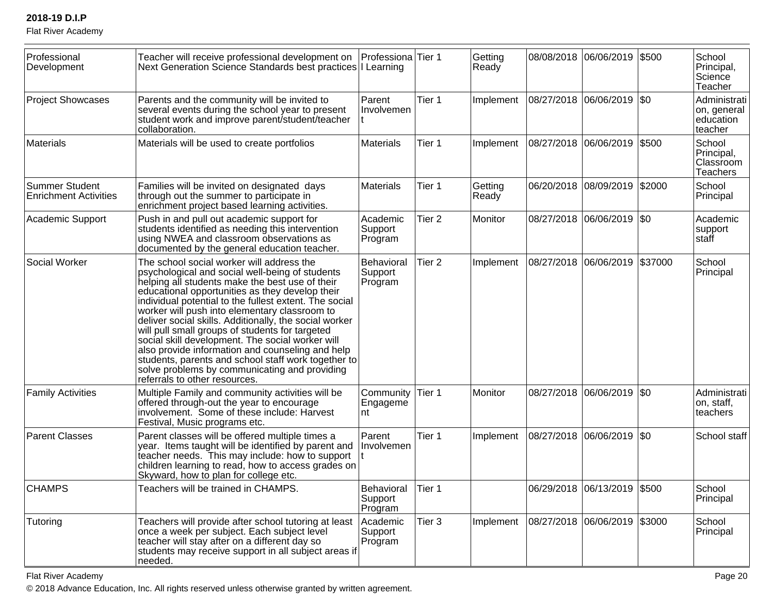Flat River Academy

| Professional<br>Development                           | Teacher will receive professional development on<br>Next Generation Science Standards best practices I Learning                                                                                                                                                                                                                                                                                                                                                                                                                                                                                                                                                             | Professiona Tier 1                      |                   | Getting<br>Ready |            | 08/08/2018 06/06/2019 \$500    |         | School<br>Principal,<br>Science<br>Teacher            |
|-------------------------------------------------------|-----------------------------------------------------------------------------------------------------------------------------------------------------------------------------------------------------------------------------------------------------------------------------------------------------------------------------------------------------------------------------------------------------------------------------------------------------------------------------------------------------------------------------------------------------------------------------------------------------------------------------------------------------------------------------|-----------------------------------------|-------------------|------------------|------------|--------------------------------|---------|-------------------------------------------------------|
| <b>Project Showcases</b>                              | Parents and the community will be invited to<br>several events during the school year to present<br>student work and improve parent/student/teacher<br>collaboration.                                                                                                                                                                                                                                                                                                                                                                                                                                                                                                       | Parent<br>Involvemen                    | Tier 1            | Implement        | 08/27/2018 | 06/06/2019 \$0                 |         | Administrati<br>on, general  <br>education<br>teacher |
| Materials                                             | Materials will be used to create portfolios                                                                                                                                                                                                                                                                                                                                                                                                                                                                                                                                                                                                                                 | <b>Materials</b>                        | Tier 1            | Implement        | 08/27/2018 | 06/06/2019                     | \$500   | School<br>Principal,<br>Classroom<br>Teachers         |
| <b>Summer Student</b><br><b>Enrichment Activities</b> | Families will be invited on designated days<br>through out the summer to participate in<br>enrichment project based learning activities.                                                                                                                                                                                                                                                                                                                                                                                                                                                                                                                                    | <b>Materials</b>                        | Tier 1            | Getting<br>Ready |            | 06/20/2018 08/09/2019 \$2000   |         | School<br>Principal                                   |
| Academic Support                                      | Push in and pull out academic support for<br>students identified as needing this intervention<br>using NWEA and classroom observations as<br>documented by the general education teacher.                                                                                                                                                                                                                                                                                                                                                                                                                                                                                   | Academic<br>Support<br>Program          | Tier <sub>2</sub> | Monitor          |            | 08/27/2018  06/06/2019  \$0    |         | Academic<br>support<br>staff                          |
| Social Worker                                         | The school social worker will address the<br>psychological and social well-being of students<br>helping all students make the best use of their<br>educational opportunities as they develop their<br>individual potential to the fullest extent. The social<br>worker will push into elementary classroom to<br>deliver social skills. Additionally, the social worker<br>will pull small groups of students for targeted<br>social skill development. The social worker will<br>also provide information and counseling and help<br>students, parents and school staff work together to<br>solve problems by communicating and providing<br>referrals to other resources. | Behavioral<br>Support<br>Program        | Tier <sub>2</sub> | Implement        |            | 08/27/2018 06/06/2019          | \$37000 | School<br>Principal                                   |
| <b>Family Activities</b>                              | Multiple Family and community activities will be<br>offered through-out the year to encourage<br>involvement. Some of these include: Harvest<br>Festival, Music programs etc.                                                                                                                                                                                                                                                                                                                                                                                                                                                                                               | Community<br>Engageme<br>nt             | Tier 1            | Monitor          | 08/27/2018 | 06/06/2019 \$0                 |         | Administrati<br>on, staff,<br>teachers                |
| <b>Parent Classes</b>                                 | Parent classes will be offered multiple times a<br>year. Items taught will be identified by parent and<br>teacher needs. This may include: how to support<br>children learning to read, how to access grades on<br>Skyward, how to plan for college etc.                                                                                                                                                                                                                                                                                                                                                                                                                    | Parent<br>Involvemen                    | Tier 1            | Implement        | 08/27/2018 | 06/06/2019 \$0                 |         | School staff                                          |
| <b>CHAMPS</b>                                         | Teachers will be trained in CHAMPS.                                                                                                                                                                                                                                                                                                                                                                                                                                                                                                                                                                                                                                         | <b>Behavioral</b><br>Support<br>Program | Tier 1            |                  |            | 06/29/2018  06/13/2019  \$500  |         | School<br>Principal                                   |
| Tutoring                                              | Teachers will provide after school tutoring at least<br>once a week per subject. Each subject level<br>teacher will stay after on a different day so<br>students may receive support in all subject areas if<br>needed.                                                                                                                                                                                                                                                                                                                                                                                                                                                     | Academic<br>Support<br>Program          | Tier 3            | Implement        |            | 08/27/2018  06/06/2019  \$3000 |         | School<br>Principal                                   |

Flat River Academy